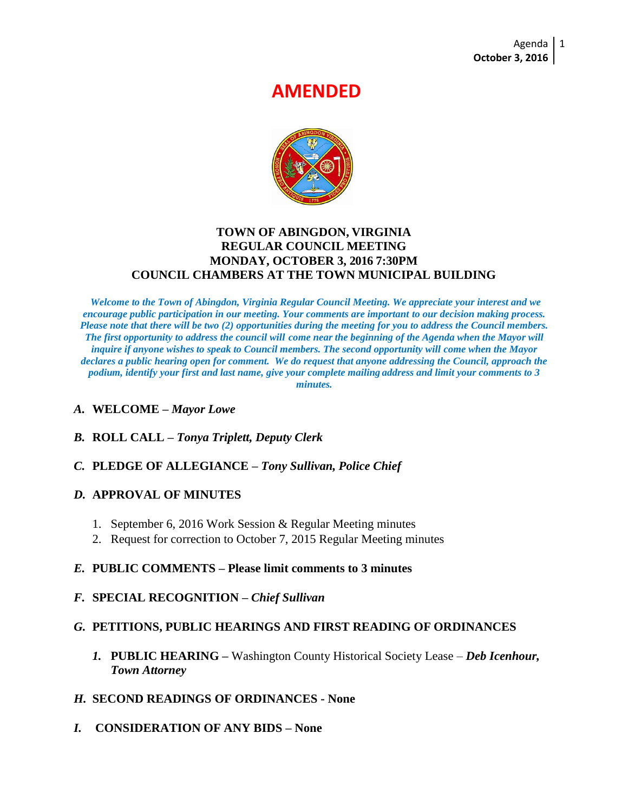# **AMENDED**



#### **TOWN OF ABINGDON, VIRGINIA REGULAR COUNCIL MEETING MONDAY, OCTOBER 3, 2016 7:30PM COUNCIL CHAMBERS AT THE TOWN MUNICIPAL BUILDING**

*Welcome to the Town of Abingdon, Virginia Regular Council Meeting. We appreciate your interest and we encourage public participation in our meeting. Your comments are important to our decision making process. Please note that there will be two (2) opportunities during the meeting for you to address the Council members. The first opportunity to address the council will come near the beginning of the Agenda when the Mayor will inquire if anyone wishes to speak to Council members. The second opportunity will come when the Mayor declares a public hearing open for comment. We do request that anyone addressing the Council, approach the podium, identify your first and last name, give your complete mailing address and limit your comments to 3 minutes.*

#### *A.* **WELCOME –** *Mayor Lowe*

*B.* **ROLL CALL –** *Tonya Triplett, Deputy Clerk*

## *C.* **PLEDGE OF ALLEGIANCE –** *Tony Sullivan, Police Chief*

#### *D.* **APPROVAL OF MINUTES**

- 1. September 6, 2016 Work Session & Regular Meeting minutes
- 2. Request for correction to October 7, 2015 Regular Meeting minutes

#### *E.* **PUBLIC COMMENTS – Please limit comments to 3 minutes**

*F.* **SPECIAL RECOGNITION –** *Chief Sullivan*

## *G.* **PETITIONS, PUBLIC HEARINGS AND FIRST READING OF ORDINANCES**

*1.* **PUBLIC HEARING –** Washington County Historical Society Lease – *Deb Icenhour, Town Attorney*

## *H.* **SECOND READINGS OF ORDINANCES - None**

*I.* **CONSIDERATION OF ANY BIDS – None**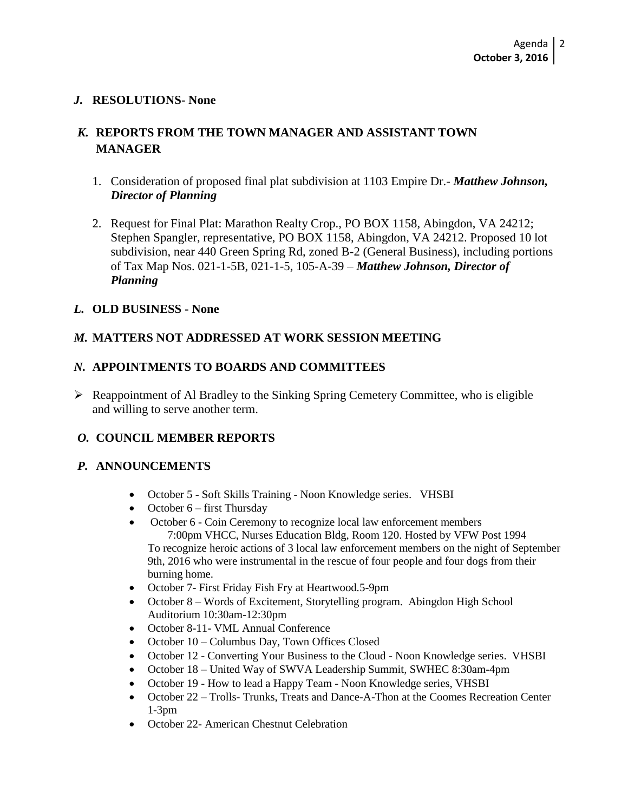#### *J.* **RESOLUTIONS- None**

# *K.* **REPORTS FROM THE TOWN MANAGER AND ASSISTANT TOWN MANAGER**

- 1. Consideration of proposed final plat subdivision at 1103 Empire Dr.- *Matthew Johnson, Director of Planning*
- 2. Request for Final Plat: Marathon Realty Crop., PO BOX 1158, Abingdon, VA 24212; Stephen Spangler, representative, PO BOX 1158, Abingdon, VA 24212. Proposed 10 lot subdivision, near 440 Green Spring Rd, zoned B-2 (General Business), including portions of Tax Map Nos. 021-1-5B, 021-1-5, 105-A-39 – *Matthew Johnson, Director of Planning*

#### *L.* **OLD BUSINESS - None**

## *M.* **MATTERS NOT ADDRESSED AT WORK SESSION MEETING**

#### *N.* **APPOINTMENTS TO BOARDS AND COMMITTEES**

 $\triangleright$  Reappointment of Al Bradley to the Sinking Spring Cemetery Committee, who is eligible and willing to serve another term.

## *O.* **COUNCIL MEMBER REPORTS**

#### *P.* **ANNOUNCEMENTS**

- October 5 Soft Skills Training Noon Knowledge series. VHSBI
- October  $6$  first Thursday
- October 6 Coin Ceremony to recognize local law enforcement members 7:00pm VHCC, Nurses Education Bldg, Room 120. Hosted by VFW Post 1994 To recognize heroic actions of 3 local law enforcement members on the night of September 9th, 2016 who were instrumental in the rescue of four people and four dogs from their burning home.
- October 7- First Friday Fish Fry at Heartwood.5-9pm
- October 8 Words of Excitement, Storytelling program. Abingdon High School Auditorium 10:30am-12:30pm
- October 8-11- VML Annual Conference
- October 10 Columbus Day, Town Offices Closed
- October 12 Converting Your Business to the Cloud Noon Knowledge series. VHSBI
- October 18 United Way of SWVA Leadership Summit, SWHEC 8:30am-4pm
- October 19 How to lead a Happy Team Noon Knowledge series, VHSBI
- October 22 Trolls- Trunks, Treats and Dance-A-Thon at the Coomes Recreation Center 1-3pm
- October 22- American Chestnut Celebration